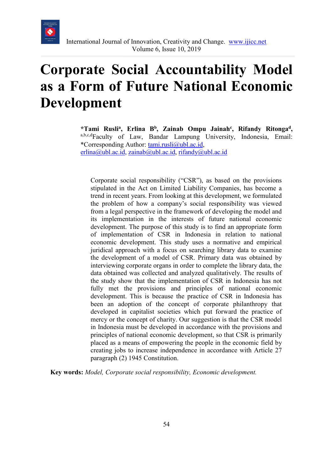

# **Corporate Social Accountability Model as a Form of Future National Economic Development**

\*Tami Rusli<sup>a</sup>, Erlina B<sup>b</sup>, Zainab Ompu Jainah<sup>c</sup>, Rifandy Ritonga<sup>d</sup>, a,b,c,dFaculty of Law, Bandar Lampung University, Indonesia, Email: \*Corresponding Author: [tami.rusli@ubl.ac.id,](mailto:tami.rusli@ubl.ac.id)  $erlina@ubl.ac.id, zainab@ubl.ac.id, rifandy@ubl.ac.id$  $erlina@ubl.ac.id, zainab@ubl.ac.id, rifandy@ubl.ac.id$  $erlina@ubl.ac.id, zainab@ubl.ac.id, rifandy@ubl.ac.id$  $erlina@ubl.ac.id, zainab@ubl.ac.id, rifandy@ubl.ac.id$  $erlina@ubl.ac.id, zainab@ubl.ac.id, rifandy@ubl.ac.id$ 

Corporate social responsibility ("CSR"), as based on the provisions stipulated in the Act on Limited Liability Companies, has become a trend in recent years. From looking at this development, we formulated the problem of how a company's social responsibility was viewed from a legal perspective in the framework of developing the model and its implementation in the interests of future national economic development. The purpose of this study is to find an appropriate form of implementation of CSR in Indonesia in relation to national economic development. This study uses a normative and empirical juridical approach with a focus on searching library data to examine the development of a model of CSR. Primary data was obtained by interviewing corporate organs in order to complete the library data, the data obtained was collected and analyzed qualitatively. The results of the study show that the implementation of CSR in Indonesia has not fully met the provisions and principles of national economic development. This is because the practice of CSR in Indonesia has been an adoption of the concept of corporate philanthropy that developed in capitalist societies which put forward the practice of mercy or the concept of charity. Our suggestion is that the CSR model in Indonesia must be developed in accordance with the provisions and principles of national economic development, so that CSR is primarily placed as a means of empowering the people in the economic field by creating jobs to increase independence in accordance with Article 27 paragraph (2) 1945 Constitution.

**Key words:** *Model, Corporate social responsibility, Economic development.*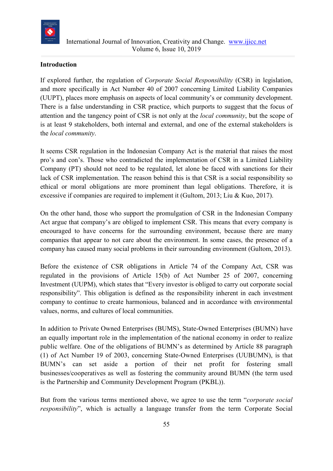

#### **Introduction**

If explored further, the regulation of *Corporate Social Responsibility* (CSR) in legislation, and more specifically in Act Number 40 of 2007 concerning Limited Liability Companies (UUPT), places more emphasis on aspects of local community's or community development. There is a false understanding in CSR practice, which purports to suggest that the focus of attention and the tangency point of CSR is not only at the *local community*, but the scope of is at least 9 stakeholders, both internal and external, and one of the external stakeholders is the *local community*.

It seems CSR regulation in the Indonesian Company Act is the material that raises the most pro's and con's. Those who contradicted the implementation of CSR in a Limited Liability Company (PT) should not need to be regulated, let alone be faced with sanctions for their lack of CSR implementation. The reason behind this is that CSR is a social responsibility so ethical or moral obligations are more prominent than legal obligations. Therefore, it is excessive if companies are required to implement it (Gultom, 2013; Liu & Kuo, 2017).

On the other hand, those who support the promulgation of CSR in the Indonesian Company Act argue that company's are obliged to implement CSR. This means that every company is encouraged to have concerns for the surrounding environment, because there are many companies that appear to not care about the environment. In some cases, the presence of a company has caused many social problems in their surrounding environment (Gultom, 2013).

Before the existence of CSR obligations in Article 74 of the Company Act, CSR was regulated in the provisions of Article 15(b) of Act Number 25 of 2007, concerning Investment (UUPM), which states that "Every investor is obliged to carry out corporate social responsibility". This obligation is defined as the responsibility inherent in each investment company to continue to create harmonious, balanced and in accordance with environmental values, norms, and cultures of local communities.

In addition to Private Owned Enterprises (BUMS), State-Owned Enterprises (BUMN) have an equally important role in the implementation of the national economy in order to realize public welfare. One of the obligations of BUMN's as determined by Article 88 paragraph (1) of Act Number 19 of 2003, concerning State-Owned Enterprises (UUBUMN), is that BUMN's can set aside a portion of their net profit for fostering small businesses/cooperatives as well as fostering the community around BUMN (the term used is the Partnership and Community Development Program (PKBL)).

But from the various terms mentioned above, we agree to use the term "*corporate social responsibility*", which is actually a language transfer from the term Corporate Social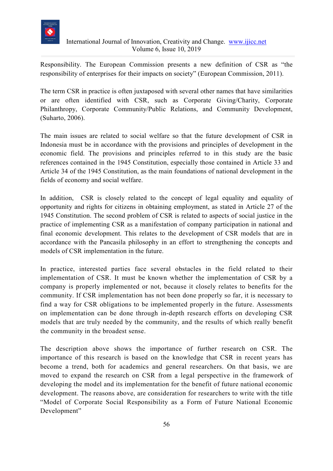

Responsibility. The European Commission presents a new definition of CSR as "the responsibility of enterprises for their impacts on society" (European Commission, 2011).

The term CSR in practice is often juxtaposed with several other names that have similarities or are often identified with CSR, such as Corporate Giving/Charity, Corporate Philanthropy, Corporate Community/Public Relations, and Community Development, (Suharto, 2006).

The main issues are related to social welfare so that the future development of CSR in Indonesia must be in accordance with the provisions and principles of development in the economic field. The provisions and principles referred to in this study are the basic references contained in the 1945 Constitution, especially those contained in Article 33 and Article 34 of the 1945 Constitution, as the main foundations of national development in the fields of economy and social welfare.

In addition, CSR is closely related to the concept of legal equality and equality of opportunity and rights for citizens in obtaining employment, as stated in Article 27 of the 1945 Constitution. The second problem of CSR is related to aspects of social justice in the practice of implementing CSR as a manifestation of company participation in national and final economic development. This relates to the development of CSR models that are in accordance with the Pancasila philosophy in an effort to strengthening the concepts and models of CSR implementation in the future.

In practice, interested parties face several obstacles in the field related to their implementation of CSR. It must be known whether the implementation of CSR by a company is properly implemented or not, because it closely relates to benefits for the community. If CSR implementation has not been done properly so far, it is necessary to find a way for CSR obligations to be implemented properly in the future. Assessments on implementation can be done through in-depth research efforts on developing CSR models that are truly needed by the community, and the results of which really benefit the community in the broadest sense.

The description above shows the importance of further research on CSR. The importance of this research is based on the knowledge that CSR in recent years has become a trend, both for academics and general researchers. On that basis, we are moved to expand the research on CSR from a legal perspective in the framework of developing the model and its implementation for the benefit of future national economic development. The reasons above, are consideration for researchers to write with the title "Model of Corporate Social Responsibility as a Form of Future National Economic Development"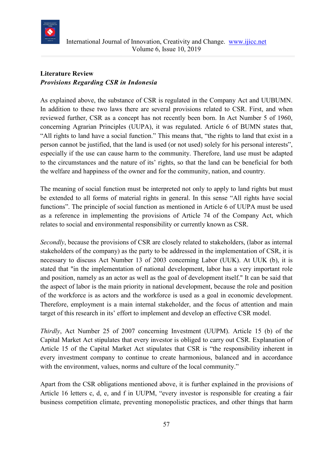

## **Literature Review** *Provisions Regarding CSR in Indonesia*

As explained above, the substance of CSR is regulated in the Company Act and UUBUMN. In addition to these two laws there are several provisions related to CSR. First, and when reviewed further, CSR as a concept has not recently been born. In Act Number 5 of 1960, concerning Agrarian Principles (UUPA), it was regulated. Article 6 of BUMN states that, "All rights to land have a social function." This means that, "the rights to land that exist in a person cannot be justified, that the land is used (or not used) solely for his personal interests", especially if the use can cause harm to the community. Therefore, land use must be adapted to the circumstances and the nature of its' rights, so that the land can be beneficial for both the welfare and happiness of the owner and for the community, nation, and country.

The meaning of social function must be interpreted not only to apply to land rights but must be extended to all forms of material rights in general. In this sense "All rights have social functions". The principle of social function as mentioned in Article 6 of UUPA must be used as a reference in implementing the provisions of Article 74 of the Company Act, which relates to social and environmental responsibility or currently known as CSR.

*Secondly*, because the provisions of CSR are closely related to stakeholders, (labor as internal stakeholders of the company) as the party to be addressed in the implementation of CSR, it is necessary to discuss Act Number 13 of 2003 concerning Labor (UUK). At UUK (b), it is stated that "in the implementation of national development, labor has a very important role and position, namely as an actor as well as the goal of development itself." It can be said that the aspect of labor is the main priority in national development, because the role and position of the workforce is as actors and the workforce is used as a goal in economic development. Therefore, employment is a main internal stakeholder, and the focus of attention and main target of this research in its' effort to implement and develop an effective CSR model.

*Thirdly*, Act Number 25 of 2007 concerning Investment (UUPM). Article 15 (b) of the Capital Market Act stipulates that every investor is obliged to carry out CSR. Explanation of Article 15 of the Capital Market Act stipulates that CSR is "the responsibility inherent in every investment company to continue to create harmonious, balanced and in accordance with the environment, values, norms and culture of the local community."

Apart from the CSR obligations mentioned above, it is further explained in the provisions of Article 16 letters c, d, e, and f in UUPM, "every investor is responsible for creating a fair business competition climate, preventing monopolistic practices, and other things that harm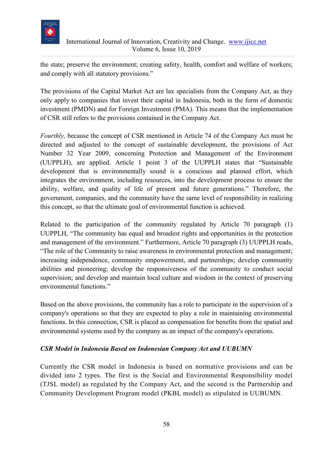

the state; preserve the environment; creating safety, health, comfort and welfare of workers; and comply with all statutory provisions."

The provisions of the Capital Market Act are lax specialists from the Company Act, as they only apply to companies that invest their capital in Indonesia, both in the form of domestic investment (PMDN) and for Foreign Investment (PMA). This means that the implementation of CSR still refers to the provisions contained in the Company Act.

*Fourthly,* because the concept of CSR mentioned in Article 74 of the Company Act must be directed and adjusted to the concept of sustainable development, the provisions of Act Number 32 Year 2009, concerning Protection and Management of the Environment (UUPPLH), are applied. Article 1 point 3 of the UUPPLH states that "Sustainable development that is environmentally sound is a conscious and planned effort, which integrates the environment, including resources, into the development process to ensure the ability, welfare, and quality of life of present and future generations." Therefore, the government, companies, and the community have the same level of responsibility in realizing this concept, so that the ultimate goal of environmental function is achieved.

Related to the participation of the community regulated by Article 70 paragraph (1) UUPPLH, "The community has equal and broadest rights and opportunities in the protection and management of the environment." Furthermore, Article 70 paragraph (3) UUPPLH reads, "The role of the Community to raise awareness in environmental protection and management; increasing independence, community empowerment, and partnerships; develop community abilities and pioneering; develop the responsiveness of the community to conduct social supervision; and develop and maintain local culture and wisdom in the context of preserving environmental functions."

Based on the above provisions, the community has a role to participate in the supervision of a company's operations so that they are expected to play a role in maintaining environmental functions. In this connection, CSR is placed as compensation for benefits from the spatial and environmental systems used by the company as an impact of the company's operations.

#### *CSR Model in Indonesia Based on Indonesian Company Act and UUBUMN*

Currently the CSR model in Indonesia is based on normative provisions and can be divided into 2 types. The first is the Social and Environmental Responsibility model (TJSL model) as regulated by the Company Act, and the second is the Partnership and Community Development Program model (PKBL model) as stipulated in UUBUMN.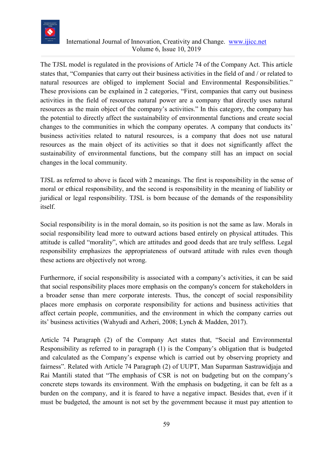

The TJSL model is regulated in the provisions of Article 74 of the Company Act. This article states that, "Companies that carry out their business activities in the field of and / or related to natural resources are obliged to implement Social and Environmental Responsibilities." These provisions can be explained in 2 categories, "First, companies that carry out business activities in the field of resources natural power are a company that directly uses natural resources as the main object of the company's activities." In this category, the company has the potential to directly affect the sustainability of environmental functions and create social changes to the communities in which the company operates. A company that conducts its' business activities related to natural resources, is a company that does not use natural resources as the main object of its activities so that it does not significantly affect the sustainability of environmental functions, but the company still has an impact on social changes in the local community.

TJSL as referred to above is faced with 2 meanings. The first is responsibility in the sense of moral or ethical responsibility, and the second is responsibility in the meaning of liability or juridical or legal responsibility. TJSL is born because of the demands of the responsibility itself.

Social responsibility is in the moral domain, so its position is not the same as law. Morals in social responsibility lead more to outward actions based entirely on physical attitudes. This attitude is called "morality", which are attitudes and good deeds that are truly selfless. Legal responsibility emphasizes the appropriateness of outward attitude with rules even though these actions are objectively not wrong.

Furthermore, if social responsibility is associated with a company's activities, it can be said that social responsibility places more emphasis on the company's concern for stakeholders in a broader sense than mere corporate interests. Thus, the concept of social responsibility places more emphasis on corporate responsibility for actions and business activities that affect certain people, communities, and the environment in which the company carries out its' business activities (Wahyudi and Azheri, 2008; Lynch & Madden, 2017).

Article 74 Paragraph (2) of the Company Act states that, "Social and Environmental Responsibility as referred to in paragraph (1) is the Company's obligation that is budgeted and calculated as the Company's expense which is carried out by observing propriety and fairness". Related with Article 74 Paragraph (2) of UUPT, Man Suparman Sastrawidjaja and Rai Mantili stated that "The emphasis of CSR is not on budgeting but on the company's concrete steps towards its environment. With the emphasis on budgeting, it can be felt as a burden on the company, and it is feared to have a negative impact. Besides that, even if it must be budgeted, the amount is not set by the government because it must pay attention to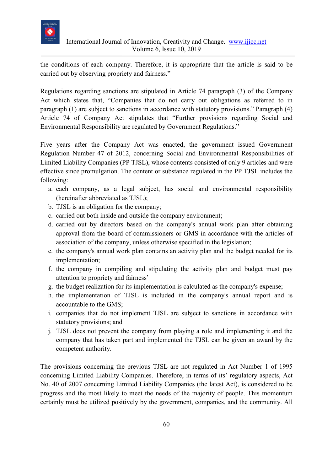

the conditions of each company. Therefore, it is appropriate that the article is said to be carried out by observing propriety and fairness."

Regulations regarding sanctions are stipulated in Article 74 paragraph (3) of the Company Act which states that, "Companies that do not carry out obligations as referred to in paragraph (1) are subject to sanctions in accordance with statutory provisions." Paragraph (4) Article 74 of Company Act stipulates that "Further provisions regarding Social and Environmental Responsibility are regulated by Government Regulations."

Five years after the Company Act was enacted, the government issued Government Regulation Number 47 of 2012, concerning Social and Environmental Responsibilities of Limited Liability Companies (PP TJSL), whose contents consisted of only 9 articles and were effective since promulgation. The content or substance regulated in the PP TJSL includes the following:

- a. each company, as a legal subject, has social and environmental responsibility (hereinafter abbreviated as TJSL);
- b. TJSL is an obligation for the company;
- c. carried out both inside and outside the company environment;
- d. carried out by directors based on the company's annual work plan after obtaining approval from the board of commissioners or GMS in accordance with the articles of association of the company, unless otherwise specified in the legislation;
- e. the company's annual work plan contains an activity plan and the budget needed for its implementation;
- f. the company in compiling and stipulating the activity plan and budget must pay attention to propriety and fairness'
- g. the budget realization for its implementation is calculated as the company's expense;
- h. the implementation of TJSL is included in the company's annual report and is accountable to the GMS;
- i. companies that do not implement TJSL are subject to sanctions in accordance with statutory provisions; and
- j. TJSL does not prevent the company from playing a role and implementing it and the company that has taken part and implemented the TJSL can be given an award by the competent authority.

The provisions concerning the previous TJSL are not regulated in Act Number 1 of 1995 concerning Limited Liability Companies. Therefore, in terms of its' regulatory aspects, Act No. 40 of 2007 concerning Limited Liability Companies (the latest Act), is considered to be progress and the most likely to meet the needs of the majority of people. This momentum certainly must be utilized positively by the government, companies, and the community. All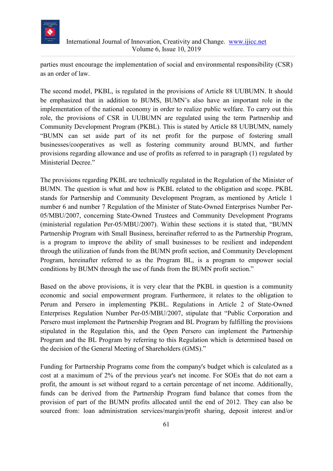

parties must encourage the implementation of social and environmental responsibility (CSR) as an order of law.

The second model, PKBL, is regulated in the provisions of Article 88 UUBUMN. It should be emphasized that in addition to BUMS, BUMN's also have an important role in the implementation of the national economy in order to realize public welfare. To carry out this role, the provisions of CSR in UUBUMN are regulated using the term Partnership and Community Development Program (PKBL). This is stated by Article 88 UUBUMN, namely "BUMN can set aside part of its net profit for the purpose of fostering small businesses/cooperatives as well as fostering community around BUMN, and further provisions regarding allowance and use of profits as referred to in paragraph (1) regulated by Ministerial Decree."

The provisions regarding PKBL are technically regulated in the Regulation of the Minister of BUMN. The question is what and how is PKBL related to the obligation and scope. PKBL stands for Partnership and Community Development Program, as mentioned by Article 1 number 6 and number 7 Regulation of the Minister of State-Owned Enterprises Number Per-05/MBU/2007, concerning State-Owned Trustees and Community Development Programs (ministerial regulation Per-05/MBU/2007). Within these sections it is stated that, "BUMN Partnership Program with Small Business, hereinafter referred to as the Partnership Program, is a program to improve the ability of small businesses to be resilient and independent through the utilization of funds from the BUMN profit section, and Community Development Program, hereinafter referred to as the Program BL, is a program to empower social conditions by BUMN through the use of funds from the BUMN profit section."

Based on the above provisions, it is very clear that the PKBL in question is a community economic and social empowerment program. Furthermore, it relates to the obligation to Perum and Persero in implementing PKBL. Regulations in Article 2 of State-Owned Enterprises Regulation Number Per-05/MBU/2007, stipulate that "Public Corporation and Persero must implement the Partnership Program and BL Program by fulfilling the provisions stipulated in the Regulation this, and the Open Persero can implement the Partnership Program and the BL Program by referring to this Regulation which is determined based on the decision of the General Meeting of Shareholders (GMS)."

Funding for Partnership Programs come from the company's budget which is calculated as a cost at a maximum of 2% of the previous year's net income. For SOEs that do not earn a profit, the amount is set without regard to a certain percentage of net income. Additionally, funds can be derived from the Partnership Program fund balance that comes from the provision of part of the BUMN profits allocated until the end of 2012. They can also be sourced from: loan administration services/margin/profit sharing, deposit interest and/or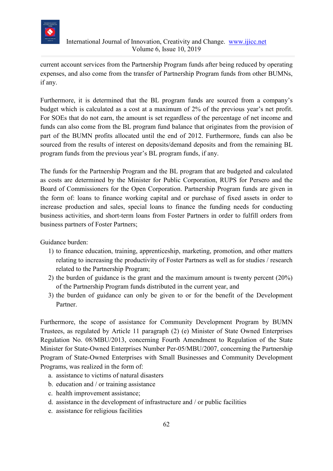

current account services from the Partnership Program funds after being reduced by operating expenses, and also come from the transfer of Partnership Program funds from other BUMNs, if any.

Furthermore, it is determined that the BL program funds are sourced from a company's budget which is calculated as a cost at a maximum of 2% of the previous year's net profit. For SOEs that do not earn, the amount is set regardless of the percentage of net income and funds can also come from the BL program fund balance that originates from the provision of part of the BUMN profits allocated until the end of 2012. Furthermore, funds can also be sourced from the results of interest on deposits/demand deposits and from the remaining BL program funds from the previous year's BL program funds, if any.

The funds for the Partnership Program and the BL program that are budgeted and calculated as costs are determined by the Minister for Public Corporation, RUPS for Persero and the Board of Commissioners for the Open Corporation. Partnership Program funds are given in the form of: loans to finance working capital and or purchase of fixed assets in order to increase production and sales, special loans to finance the funding needs for conducting business activities, and short-term loans from Foster Partners in order to fulfill orders from business partners of Foster Partners;

Guidance burden:

- 1) to finance education, training, apprenticeship, marketing, promotion, and other matters relating to increasing the productivity of Foster Partners as well as for studies / research related to the Partnership Program;
- 2) the burden of guidance is the grant and the maximum amount is twenty percent (20%) of the Partnership Program funds distributed in the current year, and
- 3) the burden of guidance can only be given to or for the benefit of the Development Partner.

Furthermore, the scope of assistance for Community Development Program by BUMN Trustees, as regulated by Article 11 paragraph (2) (e) Minister of State Owned Enterprises Regulation No. 08/MBU/2013, concerning Fourth Amendment to Regulation of the State Minister for State-Owned Enterprises Number Per-05/MBU/2007, concerning the Partnership Program of State-Owned Enterprises with Small Businesses and Community Development Programs, was realized in the form of:

- a. assistance to victims of natural disasters
- b. education and / or training assistance
- c. health improvement assistance;
- d. assistance in the development of infrastructure and / or public facilities
- e. assistance for religious facilities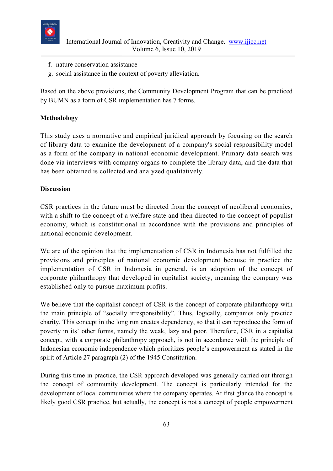

- f. nature conservation assistance
- g. social assistance in the context of poverty alleviation.

Based on the above provisions, the Community Development Program that can be practiced by BUMN as a form of CSR implementation has 7 forms.

#### **Methodology**

This study uses a normative and empirical juridical approach by focusing on the search of library data to examine the development of a company's social responsibility model as a form of the company in national economic development. Primary data search was done via interviews with company organs to complete the library data, and the data that has been obtained is collected and analyzed qualitatively.

#### **Discussion**

CSR practices in the future must be directed from the concept of neoliberal economics, with a shift to the concept of a welfare state and then directed to the concept of populist economy, which is constitutional in accordance with the provisions and principles of national economic development.

We are of the opinion that the implementation of CSR in Indonesia has not fulfilled the provisions and principles of national economic development because in practice the implementation of CSR in Indonesia in general, is an adoption of the concept of corporate philanthropy that developed in capitalist society, meaning the company was established only to pursue maximum profits.

We believe that the capitalist concept of CSR is the concept of corporate philanthropy with the main principle of "socially irresponsibility". Thus, logically, companies only practice charity. This concept in the long run creates dependency, so that it can reproduce the form of poverty in its' other forms, namely the weak, lazy and poor. Therefore, CSR in a capitalist concept, with a corporate philanthropy approach, is not in accordance with the principle of Indonesian economic independence which prioritizes people's empowerment as stated in the spirit of Article 27 paragraph (2) of the 1945 Constitution.

During this time in practice, the CSR approach developed was generally carried out through the concept of community development. The concept is particularly intended for the development of local communities where the company operates. At first glance the concept is likely good CSR practice, but actually, the concept is not a concept of people empowerment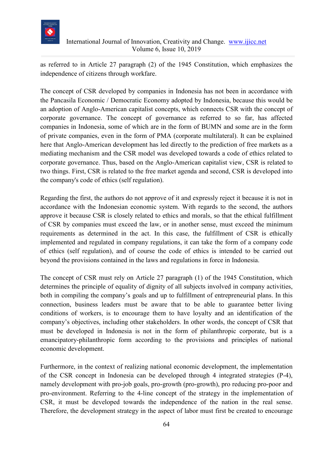

as referred to in Article 27 paragraph (2) of the 1945 Constitution, which emphasizes the independence of citizens through workfare.

The concept of CSR developed by companies in Indonesia has not been in accordance with the Pancasila Economic / Democratic Economy adopted by Indonesia, because this would be an adoption of Anglo-American capitalist concepts, which connects CSR with the concept of corporate governance. The concept of governance as referred to so far, has affected companies in Indonesia, some of which are in the form of BUMN and some are in the form of private companies, even in the form of PMA (corporate multilateral). It can be explained here that Anglo-American development has led directly to the prediction of free markets as a mediating mechanism and the CSR model was developed towards a code of ethics related to corporate governance. Thus, based on the Anglo-American capitalist view, CSR is related to two things. First, CSR is related to the free market agenda and second, CSR is developed into the company's code of ethics (self regulation).

Regarding the first, the authors do not approve of it and expressly reject it because it is not in accordance with the Indonesian economic system. With regards to the second, the authors approve it because CSR is closely related to ethics and morals, so that the ethical fulfillment of CSR by companies must exceed the law, or in another sense, must exceed the minimum requirements as determined in the act. In this case, the fulfillment of CSR is ethically implemented and regulated in company regulations, it can take the form of a company code of ethics (self regulation), and of course the code of ethics is intended to be carried out beyond the provisions contained in the laws and regulations in force in Indonesia.

The concept of CSR must rely on Article 27 paragraph (1) of the 1945 Constitution, which determines the principle of equality of dignity of all subjects involved in company activities, both in compiling the company's goals and up to fulfillment of entrepreneurial plans. In this connection, business leaders must be aware that to be able to guarantee better living conditions of workers, is to encourage them to have loyalty and an identification of the company's objectives, including other stakeholders. In other words, the concept of CSR that must be developed in Indonesia is not in the form of philanthropic corporate, but is a emancipatory-philanthropic form according to the provisions and principles of national economic development.

Furthermore, in the context of realizing national economic development, the implementation of the CSR concept in Indonesia can be developed through 4 integrated strategies (P-4), namely development with pro-job goals, pro-growth (pro-growth), pro reducing pro-poor and pro-environment. Referring to the 4-line concept of the strategy in the implementation of CSR, it must be developed towards the independence of the nation in the real sense. Therefore, the development strategy in the aspect of labor must first be created to encourage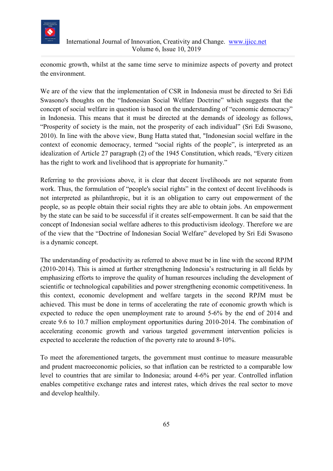

economic growth, whilst at the same time serve to minimize aspects of poverty and protect the environment.

We are of the view that the implementation of CSR in Indonesia must be directed to Sri Edi Swasono's thoughts on the "Indonesian Social Welfare Doctrine" which suggests that the concept of social welfare in question is based on the understanding of "economic democracy" in Indonesia. This means that it must be directed at the demands of ideology as follows, "Prosperity of society is the main, not the prosperity of each individual" (Sri Edi Swasono, 2010). In line with the above view, Bung Hatta stated that, "Indonesian social welfare in the context of economic democracy, termed "social rights of the people", is interpreted as an idealization of Article 27 paragraph (2) of the 1945 Constitution, which reads, "Every citizen has the right to work and livelihood that is appropriate for humanity."

Referring to the provisions above, it is clear that decent livelihoods are not separate from work. Thus, the formulation of "people's social rights" in the context of decent livelihoods is not interpreted as philanthropic, but it is an obligation to carry out empowerment of the people, so as people obtain their social rights they are able to obtain jobs. An empowerment by the state can be said to be successful if it creates self-empowerment. It can be said that the concept of Indonesian social welfare adheres to this productivism ideology. Therefore we are of the view that the "Doctrine of Indonesian Social Welfare" developed by Sri Edi Swasono is a dynamic concept.

The understanding of productivity as referred to above must be in line with the second RPJM (2010-2014). This is aimed at further strengthening Indonesia's restructuring in all fields by emphasizing efforts to improve the quality of human resources including the development of scientific or technological capabilities and power strengthening economic competitiveness. In this context, economic development and welfare targets in the second RPJM must be achieved. This must be done in terms of accelerating the rate of economic growth which is expected to reduce the open unemployment rate to around 5-6% by the end of 2014 and create 9.6 to 10.7 million employment opportunities during 2010-2014. The combination of accelerating economic growth and various targeted government intervention policies is expected to accelerate the reduction of the poverty rate to around 8-10%.

To meet the aforementioned targets, the government must continue to measure measurable and prudent macroeconomic policies, so that inflation can be restricted to a comparable low level to countries that are similar to Indonesia; around 4-6% per year. Controlled inflation enables competitive exchange rates and interest rates, which drives the real sector to move and develop healthily.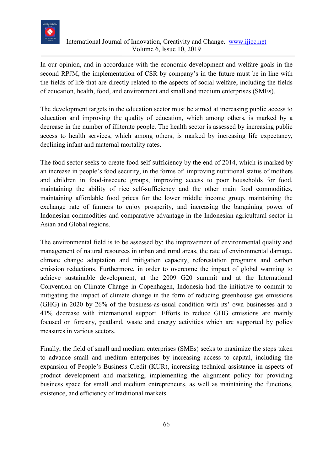

In our opinion, and in accordance with the economic development and welfare goals in the second RPJM, the implementation of CSR by company's in the future must be in line with the fields of life that are directly related to the aspects of social welfare, including the fields of education, health, food, and environment and small and medium enterprises (SMEs).

The development targets in the education sector must be aimed at increasing public access to education and improving the quality of education, which among others, is marked by a decrease in the number of illiterate people. The health sector is assessed by increasing public access to health services, which among others, is marked by increasing life expectancy, declining infant and maternal mortality rates.

The food sector seeks to create food self-sufficiency by the end of 2014, which is marked by an increase in people's food security, in the forms of: improving nutritional status of mothers and children in food-insecure groups, improving access to poor households for food, maintaining the ability of rice self-sufficiency and the other main food commodities, maintaining affordable food prices for the lower middle income group, maintaining the exchange rate of farmers to enjoy prosperity, and increasing the bargaining power of Indonesian commodities and comparative advantage in the Indonesian agricultural sector in Asian and Global regions.

The environmental field is to be assessed by: the improvement of environmental quality and management of natural resources in urban and rural areas, the rate of environmental damage, climate change adaptation and mitigation capacity, reforestation programs and carbon emission reductions. Furthermore, in order to overcome the impact of global warming to achieve sustainable development, at the 2009 G20 summit and at the International Convention on Climate Change in Copenhagen, Indonesia had the initiative to commit to mitigating the impact of climate change in the form of reducing greenhouse gas emissions (GHG) in 2020 by 26% of the business-as-usual condition with its' own businesses and a 41% decrease with international support. Efforts to reduce GHG emissions are mainly focused on forestry, peatland, waste and energy activities which are supported by policy measures in various sectors.

Finally, the field of small and medium enterprises (SMEs) seeks to maximize the steps taken to advance small and medium enterprises by increasing access to capital, including the expansion of People's Business Credit (KUR), increasing technical assistance in aspects of product development and marketing, implementing the alignment policy for providing business space for small and medium entrepreneurs, as well as maintaining the functions, existence, and efficiency of traditional markets.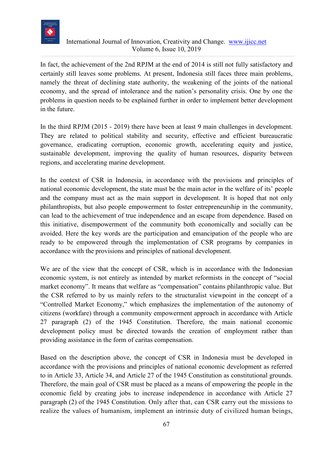

In fact, the achievement of the 2nd RPJM at the end of 2014 is still not fully satisfactory and certainly still leaves some problems. At present, Indonesia still faces three main problems, namely the threat of declining state authority, the weakening of the joints of the national economy, and the spread of intolerance and the nation's personality crisis. One by one the problems in question needs to be explained further in order to implement better development in the future.

In the third RPJM (2015 - 2019) there have been at least 9 main challenges in development. They are related to political stability and security, effective and efficient bureaucratic governance, eradicating corruption, economic growth, accelerating equity and justice, sustainable development, improving the quality of human resources, disparity between regions, and accelerating marine development.

In the context of CSR in Indonesia, in accordance with the provisions and principles of national economic development, the state must be the main actor in the welfare of its' people and the company must act as the main support in development. It is hoped that not only philanthropists, but also people empowerment to foster entrepreneurship in the community, can lead to the achievement of true independence and an escape from dependence. Based on this initiative, disempowerment of the community both economically and socially can be avoided. Here the key words are the participation and emancipation of the people who are ready to be empowered through the implementation of CSR programs by companies in accordance with the provisions and principles of national development.

We are of the view that the concept of CSR, which is in accordance with the Indonesian economic system, is not entirely as intended by market reformists in the concept of "social market economy". It means that welfare as "compensation" contains philanthropic value. But the CSR referred to by us mainly refers to the structuralist viewpoint in the concept of a "Controlled Market Economy," which emphasizes the implementation of the autonomy of citizens (workfare) through a community empowerment approach in accordance with Article 27 paragraph (2) of the 1945 Constitution. Therefore, the main national economic development policy must be directed towards the creation of employment rather than providing assistance in the form of caritas compensation.

Based on the description above, the concept of CSR in Indonesia must be developed in accordance with the provisions and principles of national economic development as referred to in Article 33, Article 34, and Article 27 of the 1945 Constitution as constitutional grounds. Therefore, the main goal of CSR must be placed as a means of empowering the people in the economic field by creating jobs to increase independence in accordance with Article 27 paragraph (2) of the 1945 Constitution. Only after that, can CSR carry out the missions to realize the values of humanism, implement an intrinsic duty of civilized human beings,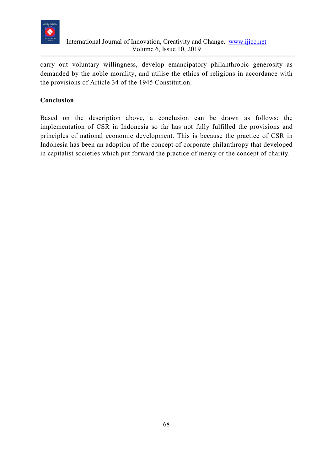

carry out voluntary willingness, develop emancipatory philanthropic generosity as demanded by the noble morality, and utilise the ethics of religions in accordance with the provisions of Article 34 of the 1945 Constitution.

### **Conclusion**

Based on the description above, a conclusion can be drawn as follows: the implementation of CSR in Indonesia so far has not fully fulfilled the provisions and principles of national economic development. This is because the practice of CSR in Indonesia has been an adoption of the concept of corporate philanthropy that developed in capitalist societies which put forward the practice of mercy or the concept of charity.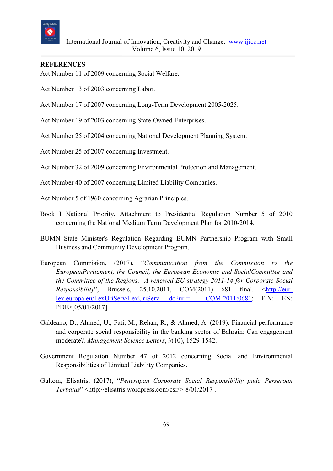

#### **REFERENCES**

Act Number 11 of 2009 concerning Social Welfare.

- Act Number 13 of 2003 concerning Labor.
- Act Number 17 of 2007 concerning Long-Term Development 2005-2025.

Act Number 19 of 2003 concerning State-Owned Enterprises.

Act Number 25 of 2004 concerning National Development Planning System.

Act Number 25 of 2007 concerning Investment.

Act Number 32 of 2009 concerning Environmental Protection and Management.

Act Number 40 of 2007 concerning Limited Liability Companies.

Act Number 5 of 1960 concerning Agrarian Principles.

- Book I National Priority, Attachment to Presidential Regulation Number 5 of 2010 concerning the National Medium Term Development Plan for 2010-2014.
- BUMN State Minister's Regulation Regarding BUMN Partnership Program with Small Business and Community Development Program.
- European Commision, (2017), "*Communication from the Commission to the EuropeanParliament, the Council, the European Economic and SocialCommittee and the Committee of the Regions: A renewed EU strategy 2011-14 for Corporate Social Responsibility*", Brussels, 25.10.2011, COM(2011) 681 final. [<http://eur](http://eur-lex.europa.eu/LexUriServ/LexUriServ.%20do?uri=%20%20COM:2011:0681)[lex.europa.eu/LexUriServ/LexUriServ. do?uri= COM:2011:0681:](http://eur-lex.europa.eu/LexUriServ/LexUriServ.%20do?uri=%20%20COM:2011:0681) FIN: EN: PDF>[05/01/2017].
- Galdeano, D., Ahmed, U., Fati, M., Rehan, R., & Ahmed, A. (2019). Financial performance and corporate social responsibility in the banking sector of Bahrain: Can engagement moderate?. *Management Science Letters*, *9*(10), 1529-1542.
- Government Regulation Number 47 of 2012 concerning Social and Environmental Responsibilities of Limited Liability Companies.
- Gultom, Elisatris, (2017), "*Penerapan Corporate Social Responsibility pada Perseroan Terbatas*" <http://elisatris.wordpress.com/csr/>[8/01/2017].